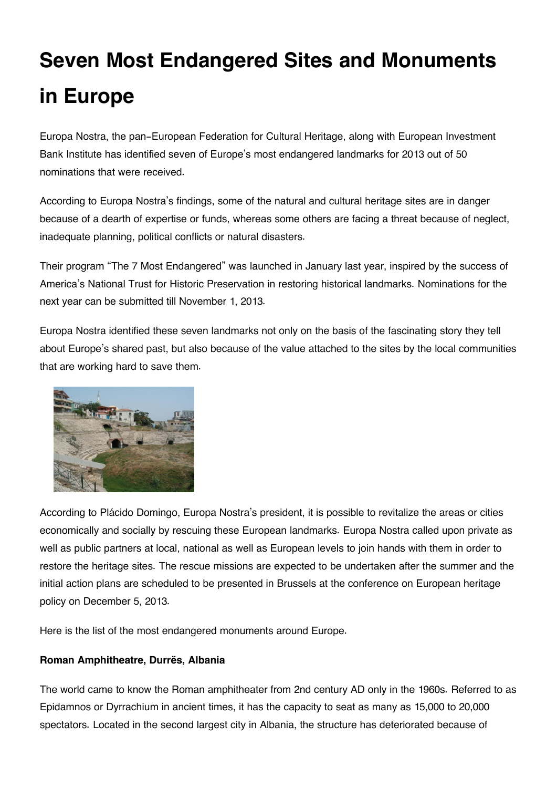# **Seven Most Endangered Sites and Monuments in Europe**

Europa Nostra, the pan-European Federation for Cultural Heritage, along with European Investment Bank Institute has identified seven of Europe's most endangered landmarks for 2013 out of 50 nominations that were received.

According to Europa Nostra's findings, some of the natural and cultural heritage sites are in danger because of a dearth of expertise or funds, whereas some others are facing a threat because of neglect, inadequate planning, political conflicts or natural disasters.

Their program "The 7 Most Endangered" was launched in January last year, inspired by the success of America's National Trust for Historic Preservation in restoring historical landmarks. Nominations for the next year can be submitted till November 1, 2013.

Europa Nostra identified these seven landmarks not only on the basis of the fascinating story they tell about Europe's shared past, but also because of the value attached to the sites by the local communities that are working hard to save them.



According to Plácido Domingo, Europa Nostra's president, it is possible to revitalize the areas or cities economically and socially by rescuing these European landmarks. Europa Nostra called upon private as well as public partners at local, national as well as European levels to join hands with them in order to restore the heritage sites. The rescue missions are expected to be undertaken after the summer and the initial action plans are scheduled to be presented in Brussels at the conference on European heritage policy on December 5, 2013.

Here is the list of the most endangered monuments around Europe.

#### **Roman Amphitheatre, Durrës, Albania**

The world came to know the Roman amphitheater from 2nd century AD only in the 1960s. Referred to as Epidamnos or Dyrrachium in ancient times, it has the capacity to seat as many as 15,000 to 20,000 spectators. Located in the second largest city in Albania, the structure has deteriorated because of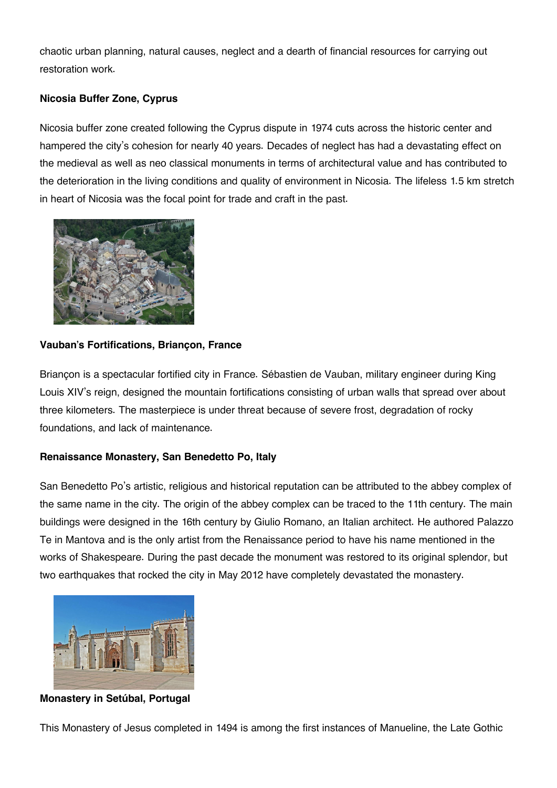chaotic urban planning, natural causes, neglect and a dearth of financial resources for carrying out restoration work.

## **Nicosia Buffer Zone, Cyprus**

Nicosia buffer zone created following the Cyprus dispute in 1974 cuts across the historic center and hampered the city's cohesion for nearly 40 years. Decades of neglect has had a devastating effect on the medieval as well as neo classical monuments in terms of architectural value and has contributed to the deterioration in the living conditions and quality of environment in Nicosia. The lifeless 1.5 km stretch in heart of Nicosia was the focal point for trade and craft in the past.



#### **Vauban's Fortifications, Briançon, France**

Briançon is a spectacular fortified city in France. Sébastien de Vauban, military engineer during King Louis XIV's reign, designed the mountain fortifications consisting of urban walls that spread over about three kilometers. The masterpiece is under threat because of severe frost, degradation of rocky foundations, and lack of maintenance.

#### **Renaissance Monastery, San Benedetto Po, Italy**

San Benedetto Po's artistic, religious and historical reputation can be attributed to the abbey complex of the same name in the city. The origin of the abbey complex can be traced to the 11th century. The main buildings were designed in the 16th century by Giulio Romano, an Italian architect. He authored Palazzo Te in Mantova and is the only artist from the Renaissance period to have his name mentioned in the works of Shakespeare. During the past decade the monument was restored to its original splendor, but two earthquakes that rocked the city in May 2012 have completely devastated the monastery.



**Monastery in Setúbal, Portugal**

This Monastery of Jesus completed in 1494 is among the first instances of Manueline, the Late Gothic